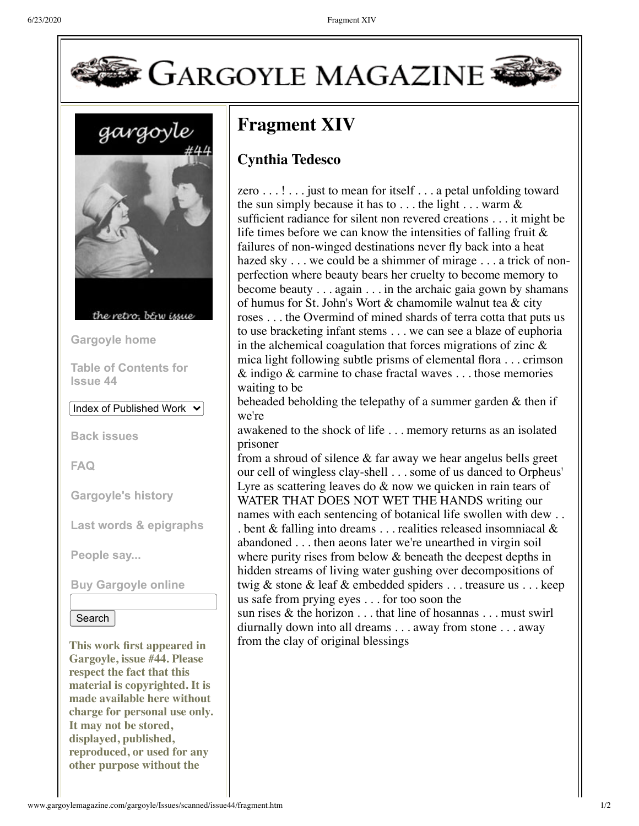

gargoyle



the retro bein issue

**[Gargoyle home](http://www.gargoylemagazine.com/gargoyle.php)**

**[Table of Contents for](http://www.gargoylemagazine.com/gargoyle/Issues/Issue44.php) Issue 44**

Index of Published Work

**[Back issues](http://www.gargoylemagazine.com/gargoyle/Magazine_covers.php)**

**[FAQ](http://www.gargoylemagazine.com/gargoyle/faq.html)**

**[Gargoyle's history](http://www.gargoylemagazine.com/gargoyle/history.htm)**

**[Last words & epigraphs](http://www.gargoylemagazine.com/gargoyle/life.htm)**

**[People say...](http://www.gargoylemagazine.com/gargoyle/press.htm)**

**[Buy Gargoyle online](http://www.gargoylemagazine.com/gargoyle/gargoyle_catalog.php)**

## Search

**This work first appeared in Gargoyle, issue #44. Please respect the fact that this material is copyrighted. It is made available here without charge for personal use only. It may not be stored, displayed, published, reproduced, or used for any other purpose without the**

## **Fragment XIV**

## **Cynthia Tedesco**

zero . . .! . . . just to mean for itself . . . a petal unfolding toward the sun simply because it has to  $\dots$  the light  $\dots$  warm  $\&$ sufficient radiance for silent non revered creations . . . it might be life times before we can know the intensities of falling fruit & failures of non-winged destinations never fly back into a heat hazed sky . . . we could be a shimmer of mirage . . . a trick of nonperfection where beauty bears her cruelty to become memory to become beauty . . . again . . . in the archaic gaia gown by shamans of humus for St. John's Wort & chamomile walnut tea & city roses . . . the Overmind of mined shards of terra cotta that puts us to use bracketing infant stems . . . we can see a blaze of euphoria in the alchemical coagulation that forces migrations of zinc & mica light following subtle prisms of elemental flora . . . crimson & indigo & carmine to chase fractal waves . . . those memories waiting to be

beheaded beholding the telepathy of a summer garden & then if we're

awakened to the shock of life . . . memory returns as an isolated prisoner

from a shroud of silence & far away we hear angelus bells greet our cell of wingless clay-shell . . . some of us danced to Orpheus' Lyre as scattering leaves do & now we quicken in rain tears of WATER THAT DOES NOT WET THE HANDS writing our names with each sentencing of botanical life swollen with dew . . . bent & falling into dreams . . . realities released insomniacal & abandoned . . . then aeons later we're unearthed in virgin soil where purity rises from below  $&$  beneath the deepest depths in hidden streams of living water gushing over decompositions of twig & stone & leaf & embedded spiders . . . treasure us . . . keep us safe from prying eyes . . . for too soon the

sun rises & the horizon . . . that line of hosannas . . . must swirl diurnally down into all dreams . . . away from stone . . . away from the clay of original blessings